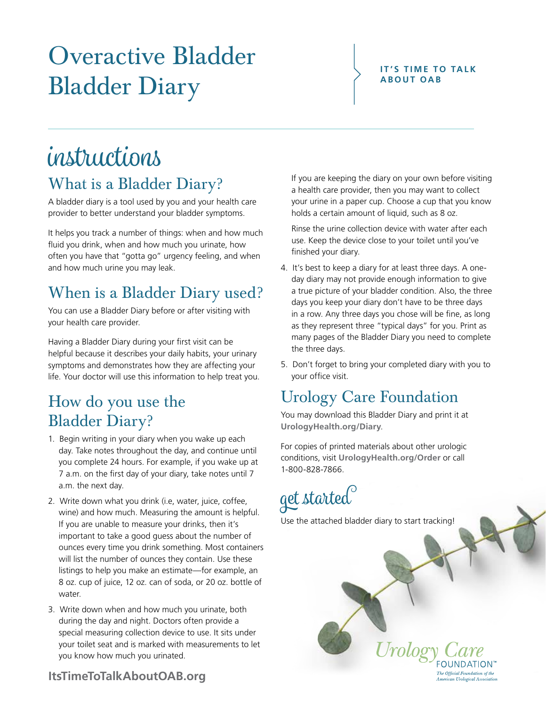# Overactive Bladder Bladder Diary

#### **IT'S TIME TO TALK ABOUT OAB**

## instructions What is a Bladder Diary?

A bladder diary is a tool used by you and your health care provider to better understand your bladder symptoms.

It helps you track a number of things: when and how much fluid you drink, when and how much you urinate, how often you have that "gotta go" urgency feeling, and when and how much urine you may leak.

### When is a Bladder Diary used?

You can use a Bladder Diary before or after visiting with your health care provider.

Having a Bladder Diary during your first visit can be helpful because it describes your daily habits, your urinary symptoms and demonstrates how they are affecting your life. Your doctor will use this information to help treat you.

### How do you use the Bladder Diary?

- 1. Begin writing in your diary when you wake up each day. Take notes throughout the day, and continue until you complete 24 hours. For example, if you wake up at 7 a.m. on the first day of your diary, take notes until 7 a.m. the next day.
- 2. Write down what you drink (i.e, water, juice, coffee, wine) and how much. Measuring the amount is helpful. If you are unable to measure your drinks, then it's important to take a good guess about the number of ounces every time you drink something. Most containers will list the number of ounces they contain. Use these listings to help you make an estimate—for example, an 8 oz. cup of juice, 12 oz. can of soda, or 20 oz. bottle of water.
- 3. Write down when and how much you urinate, both during the day and night. Doctors often provide a special measuring collection device to use. It sits under your toilet seat and is marked with measurements to let you know how much you urinated.

If you are keeping the diary on your own before visiting a health care provider, then you may want to collect your urine in a paper cup. Choose a cup that you know holds a certain amount of liquid, such as 8 oz.

Rinse the urine collection device with water after each use. Keep the device close to your toilet until you've finished your diary.

- 4. It's best to keep a diary for at least three days. A oneday diary may not provide enough information to give a true picture of your bladder condition. Also, the three days you keep your diary don't have to be three days in a row. Any three days you chose will be fine, as long as they represent three "typical days" for you. Print as many pages of the Bladder Diary you need to complete the three days.
- 5. Don't forget to bring your completed diary with you to your office visit.

### Urology Care Foundation

You may download this Bladder Diary and print it at **UrologyHealth.org/Diary**.

For copies of printed materials about other urologic conditions, visit **UrologyHealth.org/Order** or call 1-800-828-7866.

get started

Use the attached bladder diary to start tracking!

Urolog

The Official Foundation of the merican Urological Associatio

**ItsTimeToTalkAboutOAB.org**